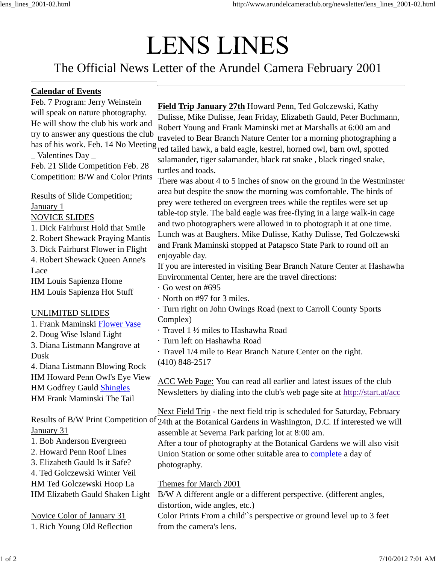## **LENS LINES**

## The Official News Letter of the Arundel Camera February 2001

## **Calendar of Events**

Feb. 7 Program: Jerry Weinstein will speak on nature photography. He will show the club his work and try to answer any questions the club \_ Valentines Day \_ Feb. 21 Slide Competition Feb. 28

Competition: B/W and Color Prints

Results of Slide Competition; January 1 NOVICE SLIDES

1. Dick Fairhurst Hold that Smile

2. Robert Shewack Praying Mantis

3. Dick Fairhurst Flower in Flight

4. Robert Shewack Queen Anne's Lace

HM Louis Sapienza Home HM Louis Sapienza Hot Stuff

## UNLIMITED SLIDES

1. Frank Maminski Flower Vase 2. Doug Wise Island Light 3. Diana Listmann Mangrove at Dusk

4. Diana Listmann Blowing Rock HM Howard Penn Owl's Eye View HM Godfrey Gauld Shingles HM Frank Maminski The Tail

January 31

- 1. Bob Anderson Evergreen
- 2. Howard Penn Roof Lines

3. Elizabeth Gauld Is it Safe? 4. Ted Golczewski Winter Veil

HM Ted Golczewski Hoop La

HM Elizabeth Gauld Shaken Light

Novice Color of January 31 1. Rich Young Old Reflection

has of his work. Feb. 14 No Meeting red tailed hawk, a bald eagle, kestrel, horned owl, barn owl, spotted **Field Trip January 27th** Howard Penn, Ted Golczewski, Kathy Dulisse, Mike Dulisse, Jean Friday, Elizabeth Gauld, Peter Buchmann, Robert Young and Frank Maminski met at Marshalls at 6:00 am and traveled to Bear Branch Nature Center for a morning photographing a

salamander, tiger salamander, black rat snake , black ringed snake, turtles and toads.

There was about 4 to 5 inches of snow on the ground in the Westminster area but despite the snow the morning was comfortable. The birds of prey were tethered on evergreen trees while the reptiles were set up table-top style. The bald eagle was free-flying in a large walk-in cage and two photographers were allowed in to photograph it at one time. Lunch was at Baughers. Mike Dulisse, Kathy Dulisse, Ted Golczewski and Frank Maminski stopped at Patapsco State Park to round off an enjoyable day.

If you are interested in visiting Bear Branch Nature Center at Hashawha Environmental Center, here are the travel directions:

· Go west on #695

· North on #97 for 3 miles.

- · Turn right on John Owings Road (next to Carroll County Sports Complex)
- · Travel 1 ½ miles to Hashawha Road

· Turn left on Hashawha Road

· Travel 1/4 mile to Bear Branch Nature Center on the right.

(410) 848-2517

ACC Web Page: You can read all earlier and latest issues of the club Newsletters by dialing into the club's web page site at http://start.at/acc

Results of B/W Print Competition of 24th at the Botanical Gardens in Washington, D.C. If interested we will Next Field Trip - the next field trip is scheduled for Saturday, February assemble at Severna Park parking lot at 8:00 am.

After a tour of photography at the Botanical Gardens we will also visit Union Station or some other suitable area to complete a day of photography.

Themes for March 2001

B/W A different angle or a different perspective. (different angles, distortion, wide angles, etc.)

Color Prints From a child'`s perspective or ground level up to 3 feet from the camera's lens.